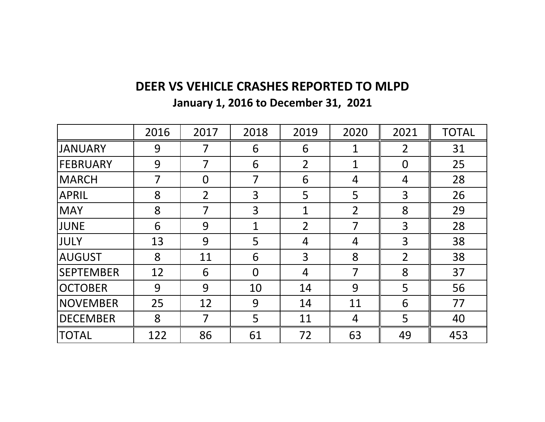## **DEER VS VEHICLE CRASHES REPORTED TO MLPD**

**January 1, 2016 to December 31, 2021**

|                  | 2016 | 2017           | 2018           | 2019           | 2020           | 2021           | <b>TOTAL</b> |
|------------------|------|----------------|----------------|----------------|----------------|----------------|--------------|
| <b>JANUARY</b>   | 9    | 7              | 6              | 6              | $\mathbf 1$    | $\overline{2}$ | 31           |
| <b>FEBRUARY</b>  | 9    | 7              | 6              | $\overline{2}$ | $\mathbf 1$    | $\overline{0}$ | 25           |
| MARCH            | 7    | $\overline{0}$ | 7              | 6              | 4              | 4              | 28           |
| <b>APRIL</b>     | 8    | $\overline{2}$ | 3              | 5              | 5              | $\overline{3}$ | 26           |
| <b>MAY</b>       | 8    | 7              | 3              | 1              | $\overline{2}$ | 8              | 29           |
| <b>JUNE</b>      | 6    | 9              | 1              | $\overline{2}$ | 7              | 3              | 28           |
| JULY             | 13   | 9              | 5              | 4              | 4              | 3              | 38           |
| <b>AUGUST</b>    | 8    | 11             | 6              | 3              | 8              | $\overline{2}$ | 38           |
| <b>SEPTEMBER</b> | 12   | 6              | $\overline{0}$ | 4              | 7              | 8              | 37           |
| <b>OCTOBER</b>   | 9    | 9              | 10             | 14             | 9              | 5              | 56           |
| <b>NOVEMBER</b>  | 25   | 12             | 9              | 14             | 11             | 6              | 77           |
| <b>DECEMBER</b>  | 8    | $\overline{7}$ | 5              | 11             | 4              | 5              | 40           |
| <b>TOTAL</b>     | 122  | 86             | 61             | 72             | 63             | 49             | 453          |